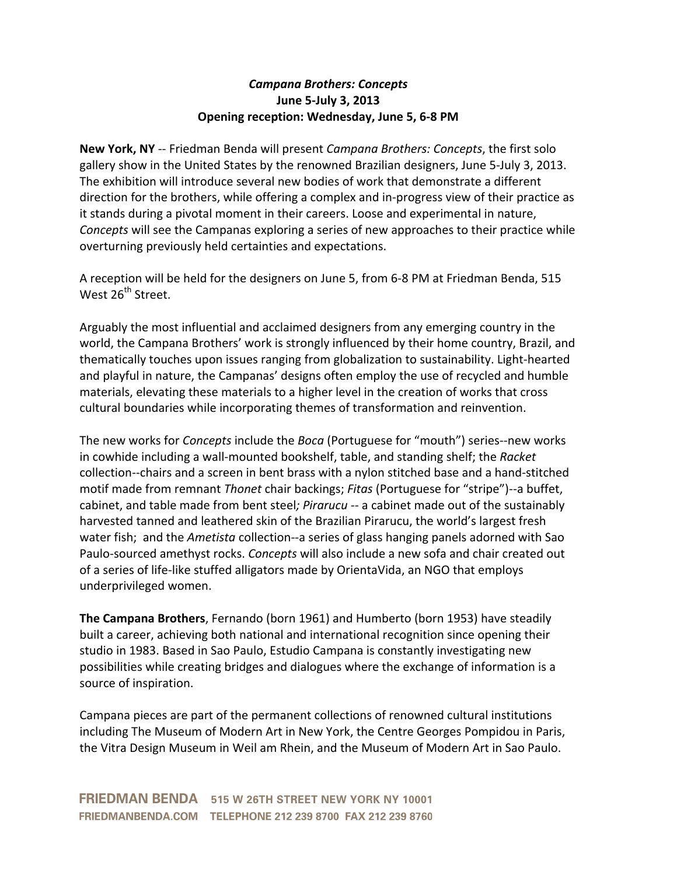## *Campana&Brothers:&Concepts* **June%5'July%3,%2013 Opening reception: Wednesday, June 5, 6-8 PM**

**New York, NY** -- Friedman Benda will present *Campana Brothers: Concepts*, the first solo gallery show in the United States by the renowned Brazilian designers, June 5-July 3, 2013. The exhibition will introduce several new bodies of work that demonstrate a different direction for the brothers, while offering a complex and in-progress view of their practice as it stands during a pivotal moment in their careers. Loose and experimental in nature, *Concepts* will see the Campanas exploring a series of new approaches to their practice while overturning previously held certainties and expectations.

A reception will be held for the designers on June 5, from 6-8 PM at Friedman Benda, 515 West 26<sup>th</sup> Street.

Arguably the most influential and acclaimed designers from any emerging country in the world, the Campana Brothers' work is strongly influenced by their home country, Brazil, and thematically touches upon issues ranging from globalization to sustainability. Light-hearted and playful in nature, the Campanas' designs often employ the use of recycled and humble materials, elevating these materials to a higher level in the creation of works that cross cultural boundaries while incorporating themes of transformation and reinvention.

The new works for *Concepts* include the *Boca* (Portuguese for "mouth") series--new works in cowhide including a wall-mounted bookshelf, table, and standing shelf; the *Racket* collection--chairs and a screen in bent brass with a nylon stitched base and a hand-stitched motif made from remnant *Thonet* chair backings; *Fitas* (Portuguese for "stripe")--a buffet, cabinet, and table made from bent steel; Pirarucu -- a cabinet made out of the sustainably harvested tanned and leathered skin of the Brazilian Pirarucu, the world's largest fresh water fish; and the *Ametista* collection--a series of glass hanging panels adorned with Sao Paulo-sourced amethyst rocks. *Concepts* will also include a new sofa and chair created out of a series of life-like stuffed alligators made by OrientaVida, an NGO that employs underprivileged women.

**The Campana Brothers**, Fernando (born 1961) and Humberto (born 1953) have steadily built a career, achieving both national and international recognition since opening their studio in 1983. Based in Sao Paulo, Estudio Campana is constantly investigating new possibilities while creating bridges and dialogues where the exchange of information is a source of inspiration.

Campana pieces are part of the permanent collections of renowned cultural institutions including The Museum of Modern Art in New York, the Centre Georges Pompidou in Paris, the Vitra Design Museum in Weil am Rhein, and the Museum of Modern Art in Sao Paulo.

**FRIEDMAN BENDA** 515 W 26TH STREET NEW YORK NY 10001 FRIEDMANBENDA.COM TELEPHONE 212 239 8700 FAX 212 239 8760